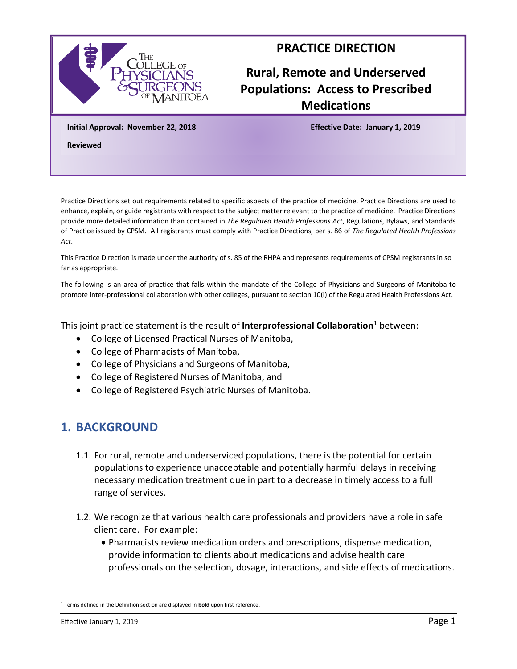

#### **PRACTICE DIRECTION**

# **Rural, Remote and Underserved Populations: Access to Prescribed Medications**

**Initial Approval: November 22, 2018 Effective Date: January 1, 2019**

**Reviewed** 

Practice Directions set out requirements related to specific aspects of the practice of medicine. Practice Directions are used to enhance, explain, or guide registrants with respect to the subject matter relevant to the practice of medicine. Practice Directions provide more detailed information than contained in *The Regulated Health Professions Act*, Regulations, Bylaws, and Standards of Practice issued by CPSM. All registrants must comply with Practice Directions, per s. 86 of *The Regulated Health Professions Act*.

This Practice Direction is made under the authority of s. 85 of the RHPA and represents requirements of CPSM registrants in so far as appropriate.

The following is an area of practice that falls within the mandate of the College of Physicians and Surgeons of Manitoba to promote inter-professional collaboration with other colleges, pursuant to section 10(i) of the Regulated Health Professions Act.

This joint practice statement is the result of **Interprofessional Collaboration**<sup>1</sup> between:

- College of Licensed Practical Nurses of Manitoba,
- College of Pharmacists of Manitoba,
- College of Physicians and Surgeons of Manitoba,
- College of Registered Nurses of Manitoba, and
- College of Registered Psychiatric Nurses of Manitoba.

#### **1. BACKGROUND**

- 1.1. For rural, remote and underserviced populations, there is the potential for certain populations to experience unacceptable and potentially harmful delays in receiving necessary medication treatment due in part to a decrease in timely access to a full range of services.
- 1.2. We recognize that various health care professionals and providers have a role in safe client care. For example:
	- Pharmacists review medication orders and prescriptions, dispense medication, provide information to clients about medications and advise health care professionals on the selection, dosage, interactions, and side effects of medications.

<sup>1</sup> Terms defined in the Definition section are displayed in **bold** upon first reference.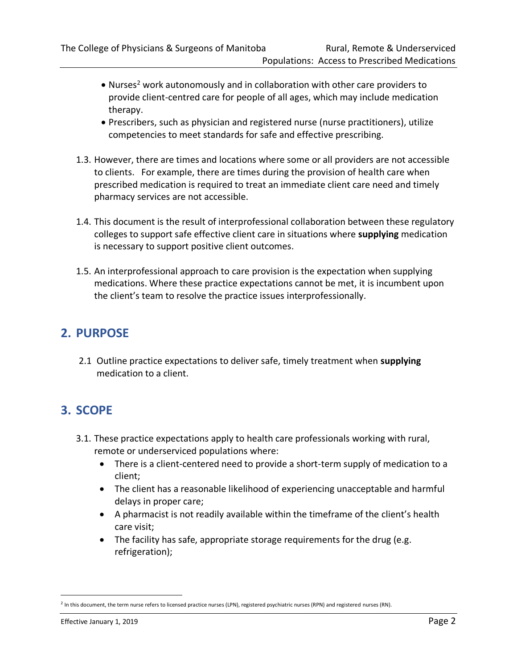- Nurses<sup>2</sup> work autonomously and in collaboration with other care providers to provide client-centred care for people of all ages, which may include medication therapy.
- Prescribers, such as physician and registered nurse (nurse practitioners), utilize competencies to meet standards for safe and effective prescribing.
- 1.3. However, there are times and locations where some or all providers are not accessible to clients. For example, there are times during the provision of health care when prescribed medication is required to treat an immediate client care need and timely pharmacy services are not accessible.
- 1.4. This document is the result of interprofessional collaboration between these regulatory colleges to support safe effective client care in situations where **supplying** medication is necessary to support positive client outcomes.
- 1.5. An interprofessional approach to care provision is the expectation when supplying medications. Where these practice expectations cannot be met, it is incumbent upon the client's team to resolve the practice issues interprofessionally.

### **2. PURPOSE**

2.1 Outline practice expectations to deliver safe, timely treatment when **supplying** medication to a client.

# **3. SCOPE**

- 3.1. These practice expectations apply to health care professionals working with rural, remote or underserviced populations where:
	- There is a client-centered need to provide a short-term supply of medication to a client;
	- The client has a reasonable likelihood of experiencing unacceptable and harmful delays in proper care;
	- A pharmacist is not readily available within the timeframe of the client's health care visit;
	- The facility has safe, appropriate storage requirements for the drug (e.g. refrigeration);

<sup>&</sup>lt;sup>2</sup> In this document, the term nurse refers to licensed practice nurses (LPN), registered psychiatric nurses (RPN) and registered nurses (RN).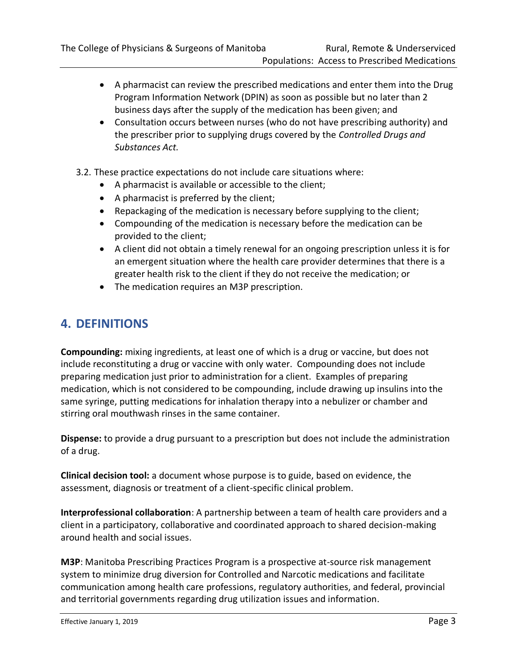- A pharmacist can review the prescribed medications and enter them into the Drug Program Information Network (DPIN) as soon as possible but no later than 2 business days after the supply of the medication has been given; and
- Consultation occurs between nurses (who do not have prescribing authority) and the prescriber prior to supplying drugs covered by the *Controlled Drugs and Substances Act.*
- 3.2. These practice expectations do not include care situations where:
	- A pharmacist is available or accessible to the client;
	- A pharmacist is preferred by the client;
	- Repackaging of the medication is necessary before supplying to the client;
	- Compounding of the medication is necessary before the medication can be provided to the client;
	- A client did not obtain a timely renewal for an ongoing prescription unless it is for an emergent situation where the health care provider determines that there is a greater health risk to the client if they do not receive the medication; or
	- The medication requires an M3P prescription.

## **4. DEFINITIONS**

**Compounding:** mixing ingredients, at least one of which is a drug or vaccine, but does not include reconstituting a drug or vaccine with only water. Compounding does not include preparing medication just prior to administration for a client. Examples of preparing medication, which is not considered to be compounding, include drawing up insulins into the same syringe, putting medications for inhalation therapy into a nebulizer or chamber and stirring oral mouthwash rinses in the same container.

**Dispense:** to provide a drug pursuant to a prescription but does not include the administration of a drug.

**Clinical decision tool:** a document whose purpose is to guide, based on evidence, the assessment, diagnosis or treatment of a client-specific clinical problem.

**Interprofessional collaboration**: A partnership between a team of health care providers and a client in a participatory, collaborative and coordinated approach to shared decision-making around health and social issues.

**M3P**: Manitoba Prescribing Practices Program is a prospective at-source risk management system to minimize drug diversion for Controlled and Narcotic medications and facilitate communication among health care professions, regulatory authorities, and federal, provincial and territorial governments regarding drug utilization issues and information.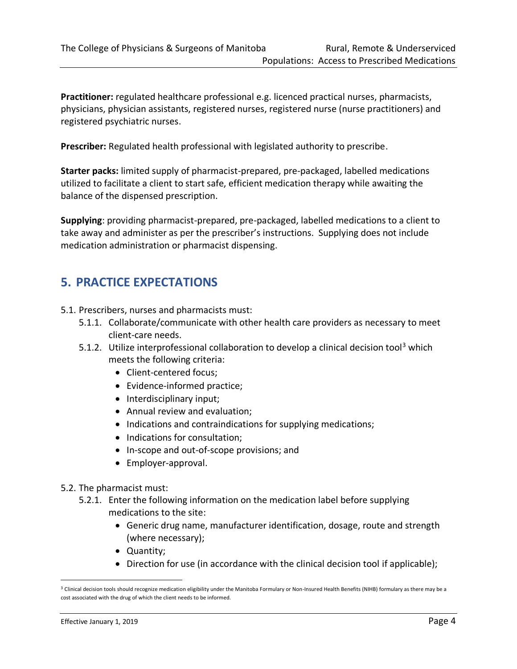**Practitioner:** regulated healthcare professional e.g. licenced practical nurses, pharmacists, physicians, physician assistants, registered nurses, registered nurse (nurse practitioners) and registered psychiatric nurses.

**Prescriber:** Regulated health professional with legislated authority to prescribe.

**Starter packs:** limited supply of pharmacist-prepared, pre-packaged, labelled medications utilized to facilitate a client to start safe, efficient medication therapy while awaiting the balance of the dispensed prescription.

**Supplying**: providing pharmacist-prepared, pre-packaged, labelled medications to a client to take away and administer as per the prescriber's instructions. Supplying does not include medication administration or pharmacist dispensing.

## **5. PRACTICE EXPECTATIONS**

- 5.1. Prescribers, nurses and pharmacists must:
	- 5.1.1. Collaborate/communicate with other health care providers as necessary to meet client-care needs.
	- 5.1.2. Utilize interprofessional collaboration to develop a clinical decision tool<sup>3</sup> which meets the following criteria:
		- Client-centered focus;
		- Evidence-informed practice;
		- Interdisciplinary input;
		- Annual review and evaluation;
		- Indications and contraindications for supplying medications;
		- Indications for consultation;
		- In-scope and out-of-scope provisions; and
		- Employer-approval.
- 5.2. The pharmacist must:
	- 5.2.1. Enter the following information on the medication label before supplying medications to the site:
		- Generic drug name, manufacturer identification, dosage, route and strength (where necessary);
		- Quantity;
		- Direction for use (in accordance with the clinical decision tool if applicable);

 $3$  Clinical decision tools should recognize medication eligibility under the Manitoba Formulary or Non-Insured Health Benefits (NIHB) formulary as there may be a cost associated with the drug of which the client needs to be informed.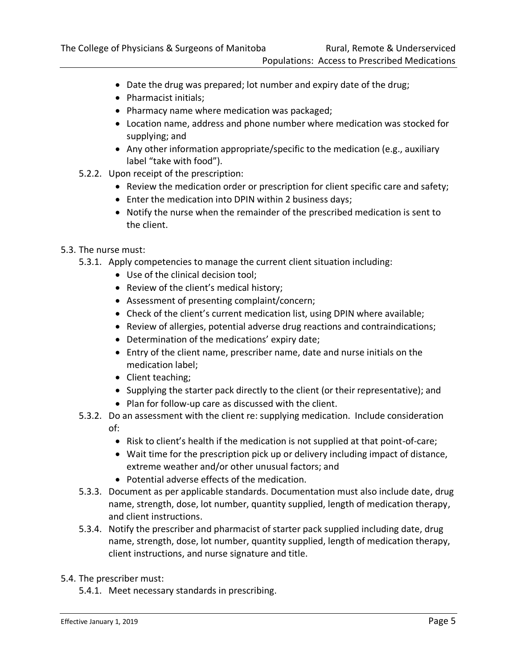- Date the drug was prepared; lot number and expiry date of the drug;
- Pharmacist initials;
- Pharmacy name where medication was packaged;
- Location name, address and phone number where medication was stocked for supplying; and
- Any other information appropriate/specific to the medication (e.g., auxiliary label "take with food").
- 5.2.2. Upon receipt of the prescription:
	- Review the medication order or prescription for client specific care and safety;
	- Enter the medication into DPIN within 2 business days;
	- Notify the nurse when the remainder of the prescribed medication is sent to the client.
- 5.3. The nurse must:
	- 5.3.1. Apply competencies to manage the current client situation including:
		- Use of the clinical decision tool;
		- Review of the client's medical history;
		- Assessment of presenting complaint/concern;
		- Check of the client's current medication list, using DPIN where available;
		- Review of allergies, potential adverse drug reactions and contraindications;
		- Determination of the medications' expiry date;
		- Entry of the client name, prescriber name, date and nurse initials on the medication label;
		- Client teaching;
		- Supplying the starter pack directly to the client (or their representative); and
		- Plan for follow-up care as discussed with the client.
	- 5.3.2. Do an assessment with the client re: supplying medication. Include consideration of:
		- Risk to client's health if the medication is not supplied at that point-of-care;
		- Wait time for the prescription pick up or delivery including impact of distance, extreme weather and/or other unusual factors; and
		- Potential adverse effects of the medication.
	- 5.3.3. Document as per applicable standards. Documentation must also include date, drug name, strength, dose, lot number, quantity supplied, length of medication therapy, and client instructions.
	- 5.3.4. Notify the prescriber and pharmacist of starter pack supplied including date, drug name, strength, dose, lot number, quantity supplied, length of medication therapy, client instructions, and nurse signature and title.
- 5.4. The prescriber must:
	- 5.4.1. Meet necessary standards in prescribing.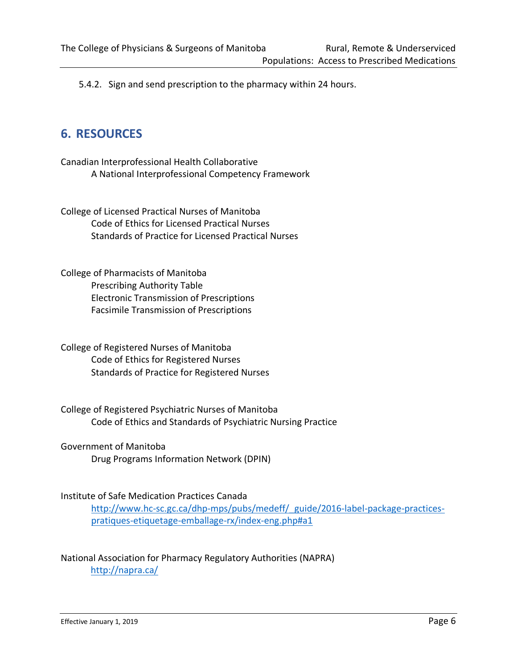5.4.2. Sign and send prescription to the pharmacy within 24 hours.

### **6. RESOURCES**

Canadian Interprofessional Health Collaborative A National Interprofessional Competency Framework

College of Licensed Practical Nurses of Manitoba Code of Ethics for Licensed Practical Nurses Standards of Practice for Licensed Practical Nurses

College of Pharmacists of Manitoba Prescribing Authority Table Electronic Transmission of Prescriptions Facsimile Transmission of Prescriptions

College of Registered Nurses of Manitoba Code of Ethics for Registered Nurses Standards of Practice for Registered Nurses

College of Registered Psychiatric Nurses of Manitoba Code of Ethics and Standards of Psychiatric Nursing Practice

Government of Manitoba Drug Programs Information Network (DPIN)

#### Institute of Safe Medication Practices Canada

[http://www.hc-sc.gc.ca/dhp-mps/pubs/medeff/\\_guide/2016-label-package-practices](http://www.hc-sc.gc.ca/dhp-mps/pubs/medeff/_guide/2016-label-package-practices-pratiques-etiquetage-emballage-rx/index-eng.php#a1)[pratiques-etiquetage-emballage-rx/index-eng.php#a1](http://www.hc-sc.gc.ca/dhp-mps/pubs/medeff/_guide/2016-label-package-practices-pratiques-etiquetage-emballage-rx/index-eng.php#a1)

#### National Association for Pharmacy Regulatory Authorities (NAPRA) <http://napra.ca/>